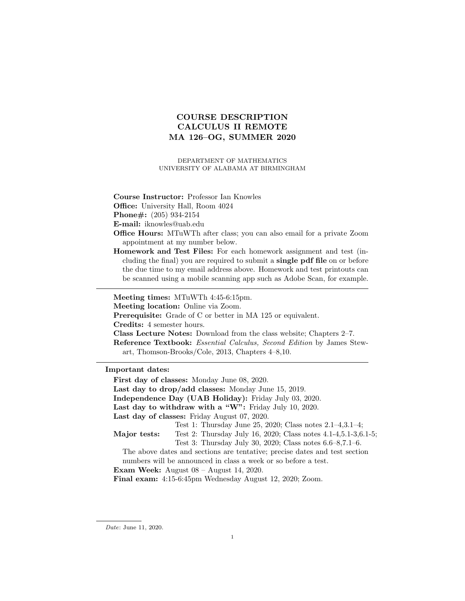# COURSE DESCRIPTION CALCULUS II REMOTE MA 126–OG, SUMMER 2020

DEPARTMENT OF MATHEMATICS UNIVERSITY OF ALABAMA AT BIRMINGHAM

Course Instructor: Professor Ian Knowles

Office: University Hall, Room 4024

Phone#: (205) 934-2154

E-mail: iknowles@uab.edu

- Office Hours: MTuWTh after class; you can also email for a private Zoom appointment at my number below.
- Homework and Test Files: For each homework assignment and test (including the final) you are required to submit a single pdf file on or before the due time to my email address above. Homework and test printouts can be scanned using a mobile scanning app such as Adobe Scan, for example.

Meeting times: MTuWTh 4:45-6:15pm.

Meeting location: Online via Zoom.

Prerequisite: Grade of C or better in MA 125 or equivalent.

Credits: 4 semester hours.

Class Lecture Notes: Download from the class website; Chapters 2–7.

Reference Textbook: Essential Calculus, Second Edition by James Stewart, Thomson-Brooks/Cole, 2013, Chapters 4–8,10.

Important dates:

First day of classes: Monday June 08, 2020. Last day to drop/add classes: Monday June 15, 2019. Independence Day (UAB Holiday): Friday July 03, 2020. Last day to withdraw with a "W": Friday July 10, 2020. Last day of classes: Friday August 07, 2020. Major tests: Test 1: Thursday June 25, 2020; Class notes 2.1–4,3.1–4; Test 2: Thursday July 16, 2020; Class notes 4.1-4,5.1-3,6.1-5; Test 3: Thursday July 30, 2020; Class notes 6.6–8,7.1–6. The above dates and sections are tentative; precise dates and test section numbers will be announced in class a week or so before a test. Exam Week: August 08 – August 14, 2020. Final exam: 4:15-6:45pm Wednesday August 12, 2020; Zoom.

Date: June 11, 2020.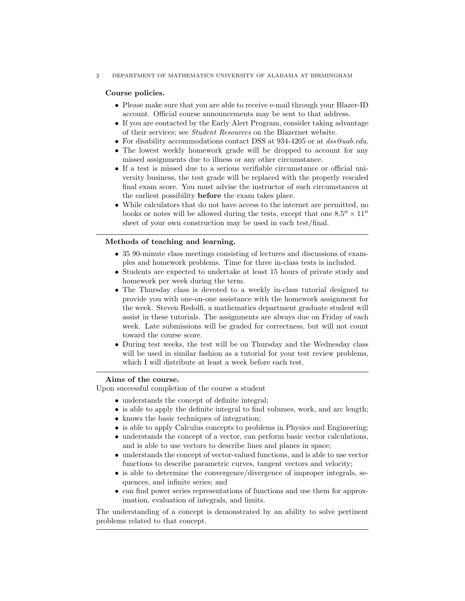#### 2 DEPARTMENT OF MATHEMATICS UNIVERSITY OF ALABAMA AT BIRMINGHAM

## Course policies.

- Please make sure that you are able to receive e-mail through your Blazer-ID account. Official course announcements may be sent to that address.
- If you are contacted by the Early Alert Program, consider taking advantage of their services; see Student Resources on the Blazernet website.
- For disability accommodations contact DSS at 934-4205 or at  $dss@uab.edu$ .
- The lowest weekly homework grade will be dropped to account for any missed assignments due to illness or any other circumstance.
- If a test is missed due to a serious verifiable circumstance or official university business, the test grade will be replaced with the properly rescaled final exam score. You must advise the instructor of such circumstances at the earliest possibility before the exam takes place.
- While calculators that do not have access to the internet are permitted, no books or notes will be allowed during the tests, except that one  $8.5'' \times 11''$ sheet of your own construction may be used in each test/final.

#### Methods of teaching and learning.

- 35 90-minute class meetings consisting of lectures and discussions of examples and homework problems. Time for three in-class tests is included.
- Students are expected to undertake at least 15 hours of private study and homework per week during the term.
- The Thursday class is devoted to a weekly in-class tutorial designed to provide you with one-on-one assistance with the homework assignment for the week. Steven Redolfi, a mathematics department graduate student will assist in these tutorials. The assignments are always due on Friday of each week. Late submissions will be graded for correctness, but will not count toward the course score.
- During test weeks, the test will be on Thursday and the Wednesday class will be used in similar fashion as a tutorial for your test review problems, which I will distribute at least a week before each test.

## Aims of the course.

Upon successful completion of the course a student

- understands the concept of definite integral;
- is able to apply the definite integral to find volumes, work, and arc length;
- knows the basic techniques of integration;
- is able to apply Calculus concepts to problems in Physics and Engineering;
- understands the concept of a vector, can perform basic vector calculations, and is able to use vectors to describe lines and planes in space;
- understands the concept of vector-valued functions, and is able to use vector functions to describe parametric curves, tangent vectors and velocity;
- is able to determine the convergence/divergence of improper integrals, sequences, and infinite series; and
- can find power series representations of functions and use them for approximation, evaluation of integrals, and limits.

The understanding of a concept is demonstrated by an ability to solve pertinent problems related to that concept.